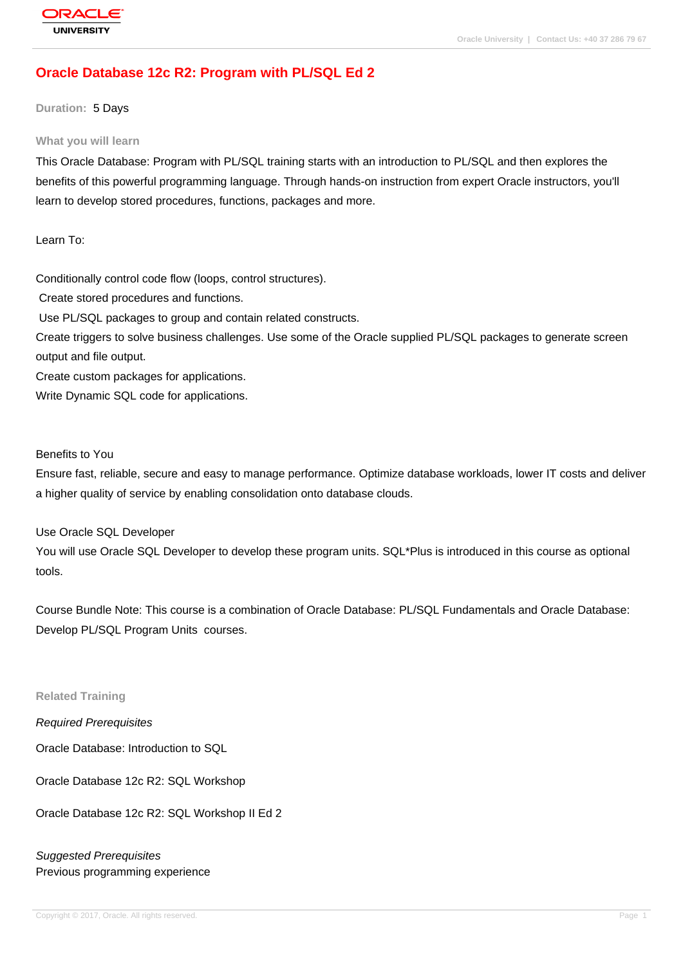# **[Oracle Databas](http://education.oracle.com/pls/web_prod-plq-dad/db_pages.getpage?page_id=3)e 12c R2: Program with PL/SQL Ed 2**

**Duration:** 5 Days

#### **What you will learn**

This Oracle Database: Program with PL/SQL training starts with an introduction to PL/SQL and then explores the benefits of this powerful programming language. Through hands-on instruction from expert Oracle instructors, you'll learn to develop stored procedures, functions, packages and more.

Learn To:

Conditionally control code flow (loops, control structures). Create stored procedures and functions.

Use PL/SQL packages to group and contain related constructs.

Create triggers to solve business challenges. Use some of the Oracle supplied PL/SQL packages to generate screen output and file output.

Create custom packages for applications.

Write Dynamic SQL code for applications.

Benefits to You

Ensure fast, reliable, secure and easy to manage performance. Optimize database workloads, lower IT costs and deliver a higher quality of service by enabling consolidation onto database clouds.

Use Oracle SQL Developer

You will use Oracle SQL Developer to develop these program units. SQL\*Plus is introduced in this course as optional tools.

Course Bundle Note: This course is a combination of Oracle Database: PL/SQL Fundamentals and Oracle Database: Develop PL/SQL Program Units courses.

**Related Training**

Required Prerequisites

Oracle Database: Introduction to SQL

Oracle Database 12c R2: SQL Workshop

Oracle Database 12c R2: SQL Workshop II Ed 2

Suggested Prerequisites Previous programming experience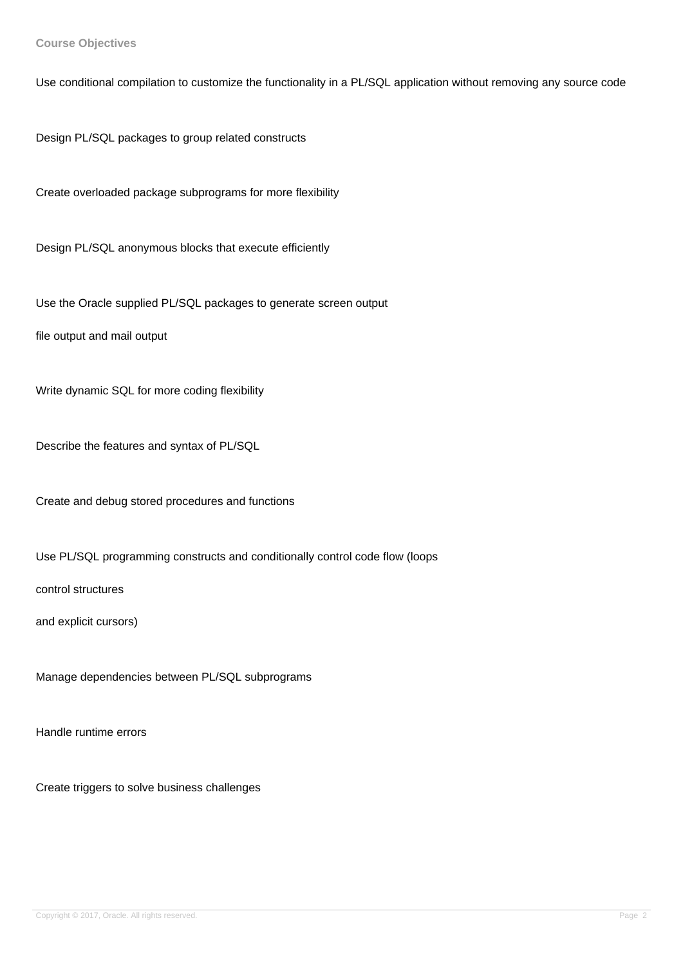**Course Objectives**

Use conditional compilation to customize the functionality in a PL/SQL application without removing any source code

Design PL/SQL packages to group related constructs

Create overloaded package subprograms for more flexibility

Design PL/SQL anonymous blocks that execute efficiently

Use the Oracle supplied PL/SQL packages to generate screen output

file output and mail output

Write dynamic SQL for more coding flexibility

Describe the features and syntax of PL/SQL

Create and debug stored procedures and functions

Use PL/SQL programming constructs and conditionally control code flow (loops

control structures

and explicit cursors)

Manage dependencies between PL/SQL subprograms

Handle runtime errors

Create triggers to solve business challenges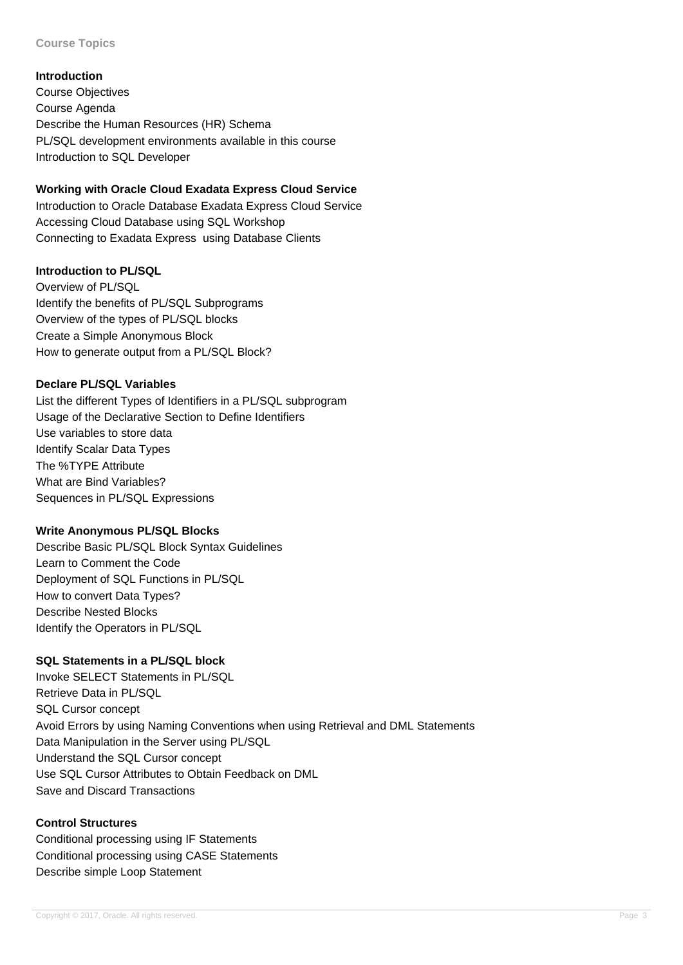#### **Course Topics**

#### **Introduction**

Course Objectives Course Agenda Describe the Human Resources (HR) Schema PL/SQL development environments available in this course Introduction to SQL Developer

## **Working with Oracle Cloud Exadata Express Cloud Service**

Introduction to Oracle Database Exadata Express Cloud Service Accessing Cloud Database using SQL Workshop Connecting to Exadata Express using Database Clients

## **Introduction to PL/SQL**

Overview of PL/SQL Identify the benefits of PL/SQL Subprograms Overview of the types of PL/SQL blocks Create a Simple Anonymous Block How to generate output from a PL/SQL Block?

## **Declare PL/SQL Variables**

List the different Types of Identifiers in a PL/SQL subprogram Usage of the Declarative Section to Define Identifiers Use variables to store data Identify Scalar Data Types The %TYPE Attribute What are Bind Variables? Sequences in PL/SQL Expressions

## **Write Anonymous PL/SQL Blocks**

Describe Basic PL/SQL Block Syntax Guidelines Learn to Comment the Code Deployment of SQL Functions in PL/SQL How to convert Data Types? Describe Nested Blocks Identify the Operators in PL/SQL

## **SQL Statements in a PL/SQL block**

Invoke SELECT Statements in PL/SQL Retrieve Data in PL/SQL SQL Cursor concept Avoid Errors by using Naming Conventions when using Retrieval and DML Statements Data Manipulation in the Server using PL/SQL Understand the SQL Cursor concept Use SQL Cursor Attributes to Obtain Feedback on DML Save and Discard Transactions

#### **Control Structures**

Conditional processing using IF Statements Conditional processing using CASE Statements Describe simple Loop Statement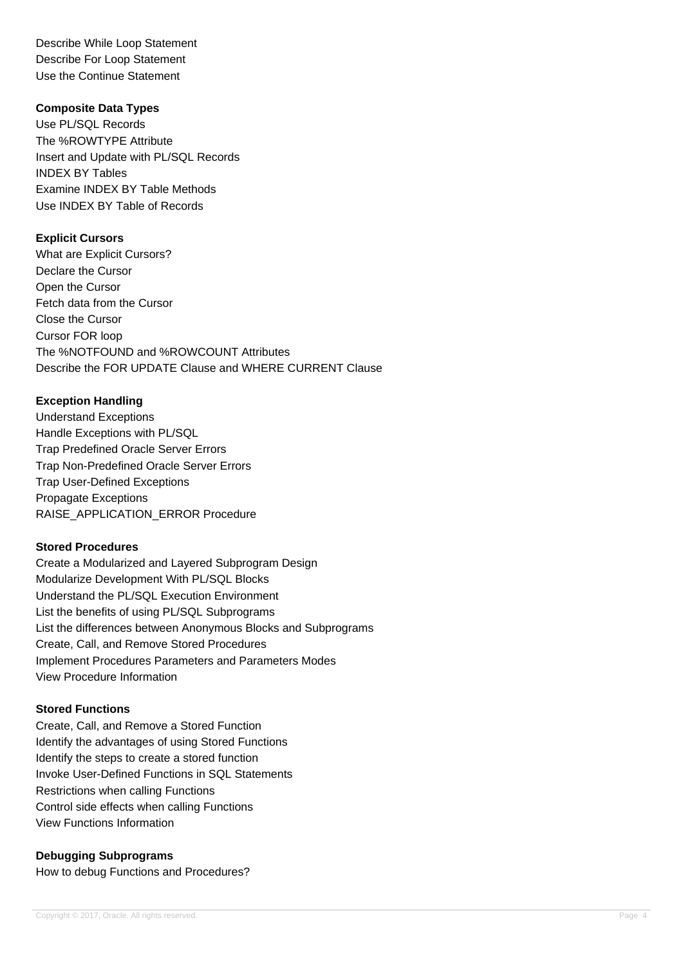Describe While Loop Statement Describe For Loop Statement Use the Continue Statement

#### **Composite Data Types**

Use PL/SQL Records The %ROWTYPE Attribute Insert and Update with PL/SQL Records INDEX BY Tables Examine INDEX BY Table Methods Use INDEX BY Table of Records

## **Explicit Cursors**

What are Explicit Cursors? Declare the Cursor Open the Cursor Fetch data from the Cursor Close the Cursor Cursor FOR loop The %NOTFOUND and %ROWCOUNT Attributes Describe the FOR UPDATE Clause and WHERE CURRENT Clause

## **Exception Handling**

Understand Exceptions Handle Exceptions with PL/SQL Trap Predefined Oracle Server Errors Trap Non-Predefined Oracle Server Errors Trap User-Defined Exceptions Propagate Exceptions RAISE\_APPLICATION\_ERROR Procedure

## **Stored Procedures**

Create a Modularized and Layered Subprogram Design Modularize Development With PL/SQL Blocks Understand the PL/SQL Execution Environment List the benefits of using PL/SQL Subprograms List the differences between Anonymous Blocks and Subprograms Create, Call, and Remove Stored Procedures Implement Procedures Parameters and Parameters Modes View Procedure Information

#### **Stored Functions**

Create, Call, and Remove a Stored Function Identify the advantages of using Stored Functions Identify the steps to create a stored function Invoke User-Defined Functions in SQL Statements Restrictions when calling Functions Control side effects when calling Functions View Functions Information

## **Debugging Subprograms**

How to debug Functions and Procedures?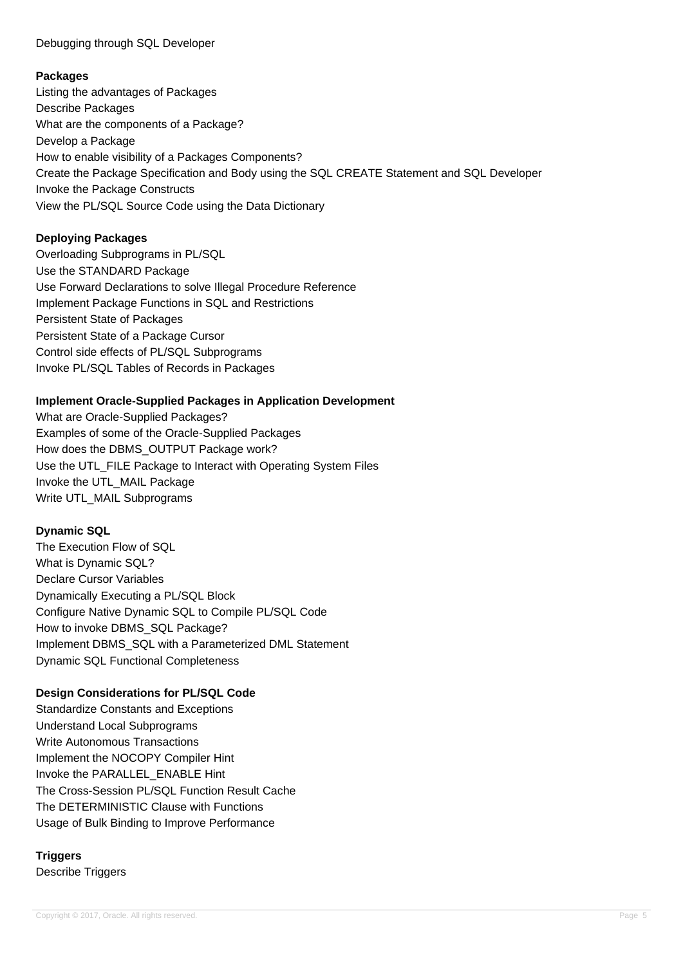## Debugging through SQL Developer

## **Packages**

Listing the advantages of Packages Describe Packages What are the components of a Package? Develop a Package How to enable visibility of a Packages Components? Create the Package Specification and Body using the SQL CREATE Statement and SQL Developer Invoke the Package Constructs View the PL/SQL Source Code using the Data Dictionary

## **Deploying Packages**

Overloading Subprograms in PL/SQL Use the STANDARD Package Use Forward Declarations to solve Illegal Procedure Reference Implement Package Functions in SQL and Restrictions Persistent State of Packages Persistent State of a Package Cursor Control side effects of PL/SQL Subprograms Invoke PL/SQL Tables of Records in Packages

## **Implement Oracle-Supplied Packages in Application Development**

What are Oracle-Supplied Packages? Examples of some of the Oracle-Supplied Packages How does the DBMS\_OUTPUT Package work? Use the UTL\_FILE Package to Interact with Operating System Files Invoke the UTL\_MAIL Package Write UTL MAIL Subprograms

## **Dynamic SQL**

The Execution Flow of SQL What is Dynamic SQL? Declare Cursor Variables Dynamically Executing a PL/SQL Block Configure Native Dynamic SQL to Compile PL/SQL Code How to invoke DBMS\_SQL Package? Implement DBMS\_SQL with a Parameterized DML Statement Dynamic SQL Functional Completeness

## **Design Considerations for PL/SQL Code**

Standardize Constants and Exceptions Understand Local Subprograms Write Autonomous Transactions Implement the NOCOPY Compiler Hint Invoke the PARALLEL\_ENABLE Hint The Cross-Session PL/SQL Function Result Cache The DETERMINISTIC Clause with Functions Usage of Bulk Binding to Improve Performance

# **Triggers**

Describe Triggers